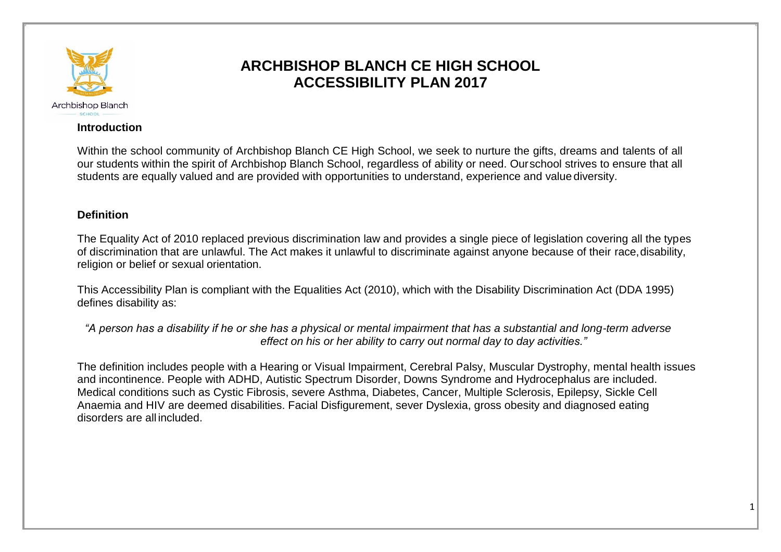

# **ARCHBISHOP BLANCH CE HIGH SCHOOL ACCESSIBILITY PLAN 2017**

### **Introduction**

Within the school community of Archbishop Blanch CE High School, we seek to nurture the gifts, dreams and talents of all our students within the spirit of Archbishop Blanch School, regardless of ability or need. Ourschool strives to ensure that all students are equally valued and are provided with opportunities to understand, experience and value diversity.

## **Definition**

The Equality Act of 2010 replaced previous discrimination law and provides a single piece of legislation covering all the types of discrimination that are unlawful. The Act makes it unlawful to discriminate against anyone because of their race,disability, religion or belief or sexual orientation.

This Accessibility Plan is compliant with the Equalities Act (2010), which with the Disability Discrimination Act (DDA 1995) defines disability as:

*"A person has a disability if he or she has a physical or mental impairment that has a substantial and long-term adverse effect on his or her ability to carry out normal day to day activities."*

The definition includes people with a Hearing or Visual Impairment, Cerebral Palsy, Muscular Dystrophy, mental health issues and incontinence. People with ADHD, Autistic Spectrum Disorder, Downs Syndrome and Hydrocephalus are included. Medical conditions such as Cystic Fibrosis, severe Asthma, Diabetes, Cancer, Multiple Sclerosis, Epilepsy, Sickle Cell Anaemia and HIV are deemed disabilities. Facial Disfigurement, sever Dyslexia, gross obesity and diagnosed eating disorders are all included.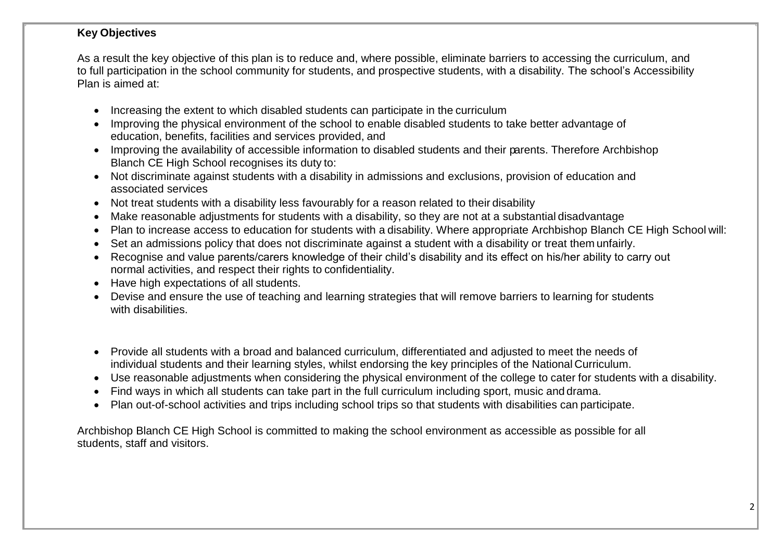## **Key Objectives**

As a result the key objective of this plan is to reduce and, where possible, eliminate barriers to accessing the curriculum, and to full participation in the school community for students, and prospective students, with a disability. The school's Accessibility Plan is aimed at:

- Increasing the extent to which disabled students can participate in the curriculum
- Improving the physical environment of the school to enable disabled students to take better advantage of education, benefits, facilities and services provided, and
- Improving the availability of accessible information to disabled students and their parents. Therefore Archbishop Blanch CE High School recognises its duty to:
- Not discriminate against students with a disability in admissions and exclusions, provision of education and associated services
- Not treat students with a disability less favourably for a reason related to their disability
- Make reasonable adjustments for students with a disability, so they are not at a substantial disadvantage
- Plan to increase access to education for students with a disability. Where appropriate Archbishop Blanch CE High School will:
- Set an admissions policy that does not discriminate against a student with a disability or treat them unfairly.
- Recognise and value parents/carers knowledge of their child's disability and its effect on his/her ability to carry out normal activities, and respect their rights to confidentiality.
- Have high expectations of all students.
- Devise and ensure the use of teaching and learning strategies that will remove barriers to learning for students with disabilities.
- Provide all students with a broad and balanced curriculum, differentiated and adjusted to meet the needs of individual students and their learning styles, whilst endorsing the key principles of the National Curriculum.
- Use reasonable adjustments when considering the physical environment of the college to cater for students with a disability.
- Find ways in which all students can take part in the full curriculum including sport, music and drama.
- Plan out-of-school activities and trips including school trips so that students with disabilities can participate.

Archbishop Blanch CE High School is committed to making the school environment as accessible as possible for all students, staff and visitors.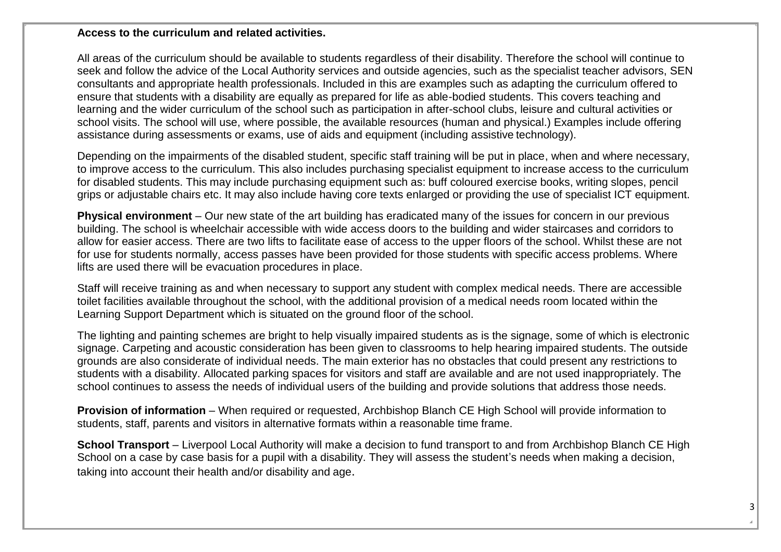### **Access to the curriculum and related activities.**

All areas of the curriculum should be available to students regardless of their disability. Therefore the school will continue to seek and follow the advice of the Local Authority services and outside agencies, such as the specialist teacher advisors, SEN consultants and appropriate health professionals. Included in this are examples such as adapting the curriculum offered to ensure that students with a disability are equally as prepared for life as able-bodied students. This covers teaching and learning and the wider curriculum of the school such as participation in after-school clubs, leisure and cultural activities or school visits. The school will use, where possible, the available resources (human and physical.) Examples include offering assistance during assessments or exams, use of aids and equipment (including assistive technology).

Depending on the impairments of the disabled student, specific staff training will be put in place, when and where necessary, to improve access to the curriculum. This also includes purchasing specialist equipment to increase access to the curriculum for disabled students. This may include purchasing equipment such as: buff coloured exercise books, writing slopes, pencil grips or adjustable chairs etc. It may also include having core texts enlarged or providing the use of specialist ICT equipment.

**Physical environment** – Our new state of the art building has eradicated many of the issues for concern in our previous building. The school is wheelchair accessible with wide access doors to the building and wider staircases and corridors to allow for easier access. There are two lifts to facilitate ease of access to the upper floors of the school. Whilst these are not for use for students normally, access passes have been provided for those students with specific access problems. Where lifts are used there will be evacuation procedures in place.

Staff will receive training as and when necessary to support any student with complex medical needs. There are accessible toilet facilities available throughout the school, with the additional provision of a medical needs room located within the Learning Support Department which is situated on the ground floor of the school.

The lighting and painting schemes are bright to help visually impaired students as is the signage, some of which is electronic signage. Carpeting and acoustic consideration has been given to classrooms to help hearing impaired students. The outside grounds are also considerate of individual needs. The main exterior has no obstacles that could present any restrictions to students with a disability. Allocated parking spaces for visitors and staff are available and are not used inappropriately. The school continues to assess the needs of individual users of the building and provide solutions that address those needs.

**Provision of information** – When required or requested, Archbishop Blanch CE High School will provide information to students, staff, parents and visitors in alternative formats within a reasonable time frame.

**School Transport** – Liverpool Local Authority will make a decision to fund transport to and from Archbishop Blanch CE High School on a case by case basis for a pupil with a disability. They will assess the student's needs when making a decision, taking into account their health and/or disability and age.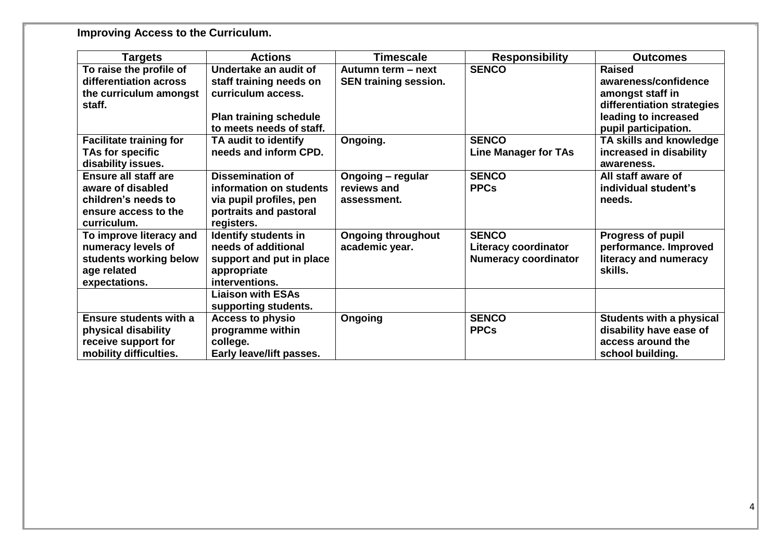**Improving Access to the Curriculum.**

| <b>Targets</b>                 | <b>Actions</b>                | Timescale                    | <b>Responsibility</b>       | <b>Outcomes</b>                 |
|--------------------------------|-------------------------------|------------------------------|-----------------------------|---------------------------------|
| To raise the profile of        | Undertake an audit of         | Autumn term - next           | <b>SENCO</b>                | <b>Raised</b>                   |
| differentiation across         | staff training needs on       | <b>SEN training session.</b> |                             | awareness/confidence            |
| the curriculum amongst         | curriculum access.            |                              |                             | amongst staff in                |
| staff.                         |                               |                              |                             | differentiation strategies      |
|                                | <b>Plan training schedule</b> |                              |                             | leading to increased            |
|                                | to meets needs of staff.      |                              |                             | pupil participation.            |
| <b>Facilitate training for</b> | TA audit to identify          | Ongoing.                     | <b>SENCO</b>                | TA skills and knowledge         |
| TAs for specific               | needs and inform CPD.         |                              | <b>Line Manager for TAs</b> | increased in disability         |
| disability issues.             |                               |                              |                             | awareness.                      |
| <b>Ensure all staff are</b>    | <b>Dissemination of</b>       | Ongoing - regular            | <b>SENCO</b>                | All staff aware of              |
| aware of disabled              | information on students       | reviews and                  | <b>PPCs</b>                 | individual student's            |
| children's needs to            | via pupil profiles, pen       | assessment.                  |                             | needs.                          |
| ensure access to the           | portraits and pastoral        |                              |                             |                                 |
| curriculum.                    | registers.                    |                              |                             |                                 |
| To improve literacy and        | <b>Identify students in</b>   | <b>Ongoing throughout</b>    | <b>SENCO</b>                | <b>Progress of pupil</b>        |
| numeracy levels of             | needs of additional           | academic year.               | <b>Literacy coordinator</b> | performance. Improved           |
| students working below         | support and put in place      |                              | <b>Numeracy coordinator</b> | literacy and numeracy           |
| age related                    | appropriate                   |                              |                             | skills.                         |
| expectations.                  | interventions.                |                              |                             |                                 |
|                                | <b>Liaison with ESAs</b>      |                              |                             |                                 |
|                                | supporting students.          |                              |                             |                                 |
| <b>Ensure students with a</b>  | <b>Access to physio</b>       | Ongoing                      | <b>SENCO</b>                | <b>Students with a physical</b> |
| physical disability            | programme within              |                              | <b>PPCs</b>                 | disability have ease of         |
| receive support for            | college.                      |                              |                             | access around the               |
| mobility difficulties.         | Early leave/lift passes.      |                              |                             | school building.                |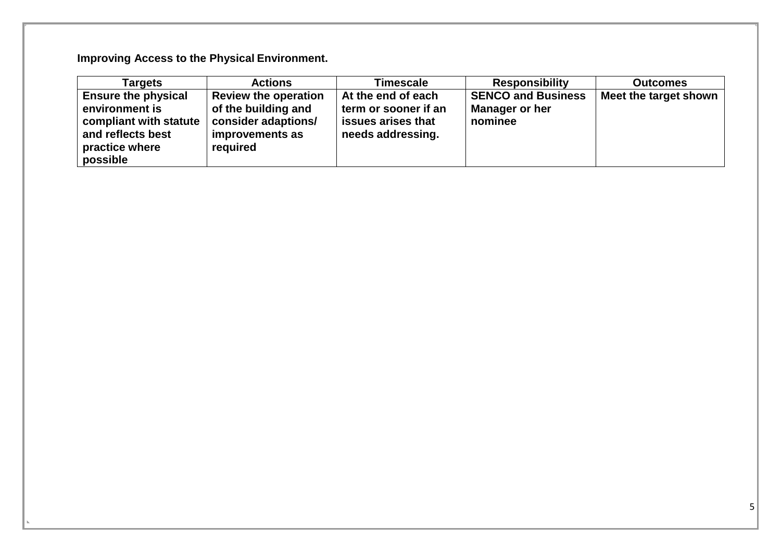**Improving Access to the Physical Environment.**

| Tarqets                                                                                                                   | <b>Actions</b>                                                                                           | <b>Timescale</b>                                                                      | <b>Responsibility</b>                                  | <b>Outcomes</b>       |
|---------------------------------------------------------------------------------------------------------------------------|----------------------------------------------------------------------------------------------------------|---------------------------------------------------------------------------------------|--------------------------------------------------------|-----------------------|
| <b>Ensure the physical</b><br>environment is<br>compliant with statute<br>and reflects best<br>practice where<br>possible | <b>Review the operation</b><br>of the building and<br>consider adaptions/<br>improvements as<br>required | At the end of each<br>term or sooner if an<br>issues arises that<br>needs addressing. | <b>SENCO and Business</b><br>Manager or her<br>nominee | Meet the target shown |